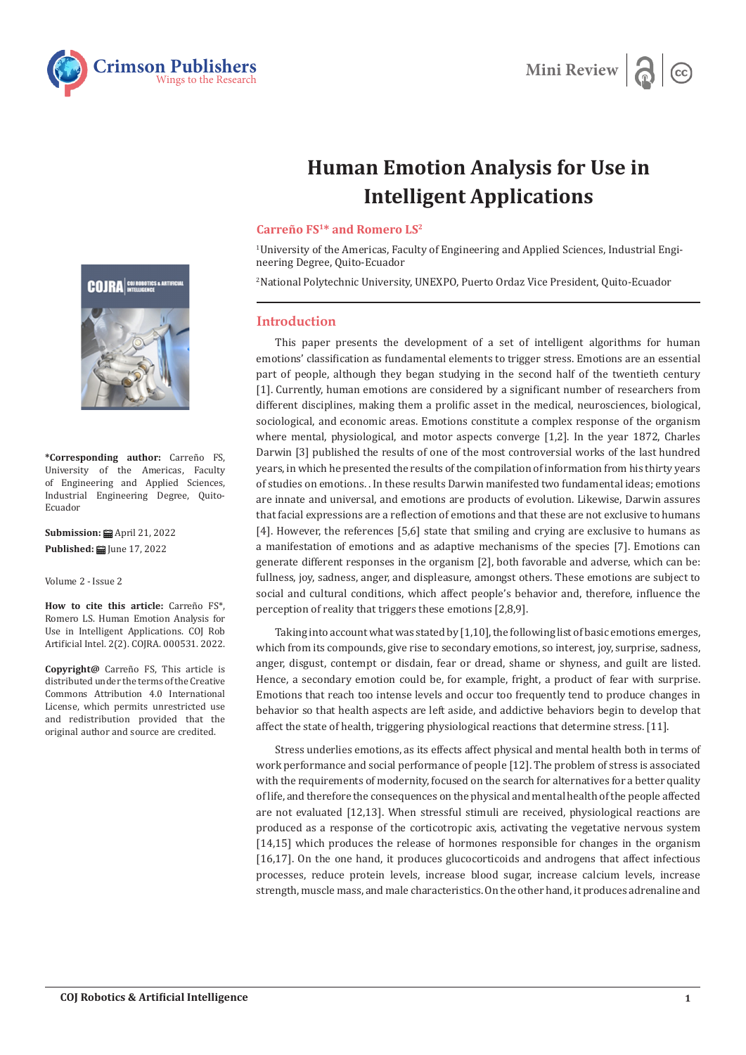



## **Human Emotion Analysis for Use in Intelligent Applications**

## **Carreño FS1\* and Romero LS2**

1 University of the Americas, Faculty of Engineering and Applied Sciences, Industrial Engineering Degree, Quito-Ecuador

2 National Polytechnic University, UNEXPO, Puerto Ordaz Vice President, Quito-Ecuador

## **Introduction**

This paper presents the development of a set of intelligent algorithms for human emotions' classification as fundamental elements to trigger stress. Emotions are an essential part of people, although they began studying in the second half of the twentieth century [1]. Currently, human emotions are considered by a significant number of researchers from different disciplines, making them a prolific asset in the medical, neurosciences, biological, sociological, and economic areas. Emotions constitute a complex response of the organism where mental, physiological, and motor aspects converge [1,2]. In the year 1872, Charles Darwin [3] published the results of one of the most controversial works of the last hundred years, in which he presented the results of the compilation of information from his thirty years of studies on emotions. . In these results Darwin manifested two fundamental ideas; emotions are innate and universal, and emotions are products of evolution. Likewise, Darwin assures that facial expressions are a reflection of emotions and that these are not exclusive to humans [4]. However, the references [5,6] state that smiling and crying are exclusive to humans as a manifestation of emotions and as adaptive mechanisms of the species [7]. Emotions can generate different responses in the organism [2], both favorable and adverse, which can be: fullness, joy, sadness, anger, and displeasure, amongst others. These emotions are subject to social and cultural conditions, which affect people's behavior and, therefore, influence the perception of reality that triggers these emotions [2,8,9].

Taking into account what was stated by [1,10], the following list of basic emotions emerges, which from its compounds, give rise to secondary emotions, so interest, joy, surprise, sadness, anger, disgust, contempt or disdain, fear or dread, shame or shyness, and guilt are listed. Hence, a secondary emotion could be, for example, fright, a product of fear with surprise. Emotions that reach too intense levels and occur too frequently tend to produce changes in behavior so that health aspects are left aside, and addictive behaviors begin to develop that affect the state of health, triggering physiological reactions that determine stress. [11].

Stress underlies emotions, as its effects affect physical and mental health both in terms of work performance and social performance of people [12]. The problem of stress is associated with the requirements of modernity, focused on the search for alternatives for a better quality of life, and therefore the consequences on the physical and mental health of the people affected are not evaluated [12,13]. When stressful stimuli are received, physiological reactions are produced as a response of the corticotropic axis, activating the vegetative nervous system [14,15] which produces the release of hormones responsible for changes in the organism [16,17]. On the one hand, it produces glucocorticoids and androgens that affect infectious processes, reduce protein levels, increase blood sugar, increase calcium levels, increase strength, muscle mass, and male characteristics. On the other hand, it produces adrenaline and



**\*Corresponding author:** Carreño FS, University of the Americas, Faculty of Engineering and Applied Sciences, Industrial Engineering Degree, Quito-Ecuador

**Submission:** ■ April 21, 2022 **Published: | June 17, 2022** 

Volume 2 - Issue 2

**How to cite this article:** Carreño FS\*, Romero LS. Human Emotion Analysis for Use in Intelligent Applications. COJ Rob Artificial Intel. 2(2). COJRA. 000531. 2022.

**Copyright@** Carreño FS, This article is distributed under the terms of the Creative Commons Attribution 4.0 International License, which permits unrestricted use and redistribution provided that the original author and source are credited.